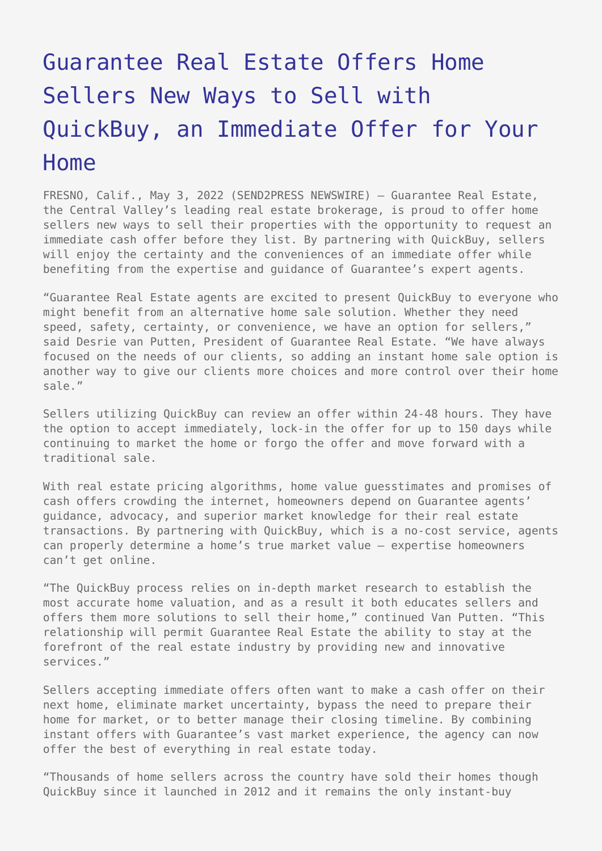## [Guarantee Real Estate Offers Home](https://www.send2press.com/wire/guarantee-real-estate-offers-home-sellers-new-ways-to-sell-with-quickbuy-an-immediate-offer-for-your-home/) [Sellers New Ways to Sell with](https://www.send2press.com/wire/guarantee-real-estate-offers-home-sellers-new-ways-to-sell-with-quickbuy-an-immediate-offer-for-your-home/) [QuickBuy, an Immediate Offer for Your](https://www.send2press.com/wire/guarantee-real-estate-offers-home-sellers-new-ways-to-sell-with-quickbuy-an-immediate-offer-for-your-home/) [Home](https://www.send2press.com/wire/guarantee-real-estate-offers-home-sellers-new-ways-to-sell-with-quickbuy-an-immediate-offer-for-your-home/)

FRESNO, Calif., May 3, 2022 (SEND2PRESS NEWSWIRE) — Guarantee Real Estate, the Central Valley's leading real estate brokerage, is proud to offer home sellers new ways to sell their properties with the opportunity to request an immediate cash offer before they list. By partnering with QuickBuy, sellers will enjoy the certainty and the conveniences of an immediate offer while benefiting from the expertise and guidance of Guarantee's expert agents.

"Guarantee Real Estate agents are excited to present QuickBuy to everyone who might benefit from an alternative home sale solution. Whether they need speed, safety, certainty, or convenience, we have an option for sellers," said Desrie van Putten, President of Guarantee Real Estate. "We have always focused on the needs of our clients, so adding an instant home sale option is another way to give our clients more choices and more control over their home sale."

Sellers utilizing QuickBuy can review an offer within 24-48 hours. They have the option to accept immediately, lock-in the offer for up to 150 days while continuing to market the home or forgo the offer and move forward with a traditional sale.

With real estate pricing algorithms, home value guesstimates and promises of cash offers crowding the internet, homeowners depend on Guarantee agents' guidance, advocacy, and superior market knowledge for their real estate transactions. By partnering with QuickBuy, which is a no-cost service, agents can properly determine a home's true market value – expertise homeowners can't get online.

"The QuickBuy process relies on in-depth market research to establish the most accurate home valuation, and as a result it both educates sellers and offers them more solutions to sell their home," continued Van Putten. "This relationship will permit Guarantee Real Estate the ability to stay at the forefront of the real estate industry by providing new and innovative services."

Sellers accepting immediate offers often want to make a cash offer on their next home, eliminate market uncertainty, bypass the need to prepare their home for market, or to better manage their closing timeline. By combining instant offers with Guarantee's vast market experience, the agency can now offer the best of everything in real estate today.

"Thousands of home sellers across the country have sold their homes though QuickBuy since it launched in 2012 and it remains the only instant-buy